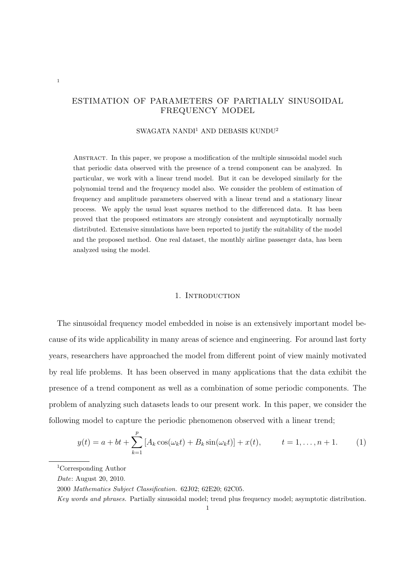# ESTIMATION OF PARAMETERS OF PARTIALLY SINUSOIDAL FREQUENCY MODEL

# SWAGATA NANDI<sup>1</sup> AND DEBASIS KUNDU<sup>2</sup>

Abstract. In this paper, we propose a modification of the multiple sinusoidal model such that periodic data observed with the presence of a trend component can be analyzed. In particular, we work with a linear trend model. But it can be developed similarly for the polynomial trend and the frequency model also. We consider the problem of estimation of frequency and amplitude parameters observed with a linear trend and a stationary linear process. We apply the usual least squares method to the differenced data. It has been proved that the proposed estimators are strongly consistent and asymptotically normally distributed. Extensive simulations have been reported to justify the suitability of the model and the proposed method. One real dataset, the monthly airline passenger data, has been analyzed using the model.

### 1. INTRODUCTION

The sinusoidal frequency model embedded in noise is an extensively important model because of its wide applicability in many areas of science and engineering. For around last forty years, researchers have approached the model from different point of view mainly motivated by real life problems. It has been observed in many applications that the data exhibit the presence of a trend component as well as a combination of some periodic components. The problem of analyzing such datasets leads to our present work. In this paper, we consider the following model to capture the periodic phenomenon observed with a linear trend;

$$
y(t) = a + bt + \sum_{k=1}^{p} [A_k \cos(\omega_k t) + B_k \sin(\omega_k t)] + x(t), \qquad t = 1, ..., n+1.
$$
 (1)

1

<sup>1</sup>Corresponding Author

*Date*: August 20, 2010.

<sup>2000</sup> *Mathematics Subject Classification.* 62J02; 62E20; 62C05.

*Key words and phrases.* Partially sinusoidal model; trend plus frequency model; asymptotic distribution.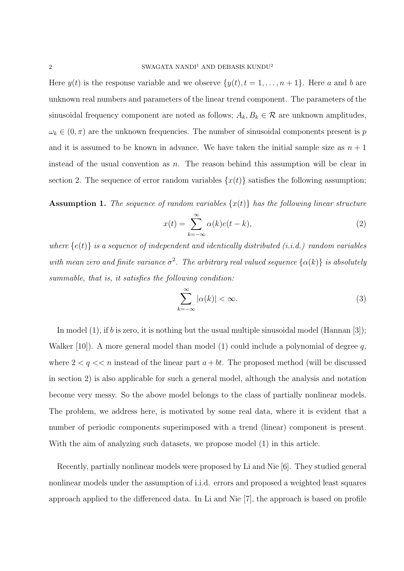Here  $y(t)$  is the response variable and we observe  $\{y(t), t = 1, \ldots, n+1\}$ . Here *a* and *b* are unknown real numbers and parameters of the linear trend component. The parameters of the sinusoidal frequency component are noted as follows;  $A_k, B_k \in \mathcal{R}$  are unknown amplitudes,  $\omega_k \in (0, \pi)$  are the unknown frequencies. The number of sinusoidal components present is *p* and it is assumed to be known in advance. We have taken the initial sample size as  $n + 1$ instead of the usual convention as *n*. The reason behind this assumption will be clear in section 2. The sequence of error random variables  $\{x(t)\}\$  satisfies the following assumption;

**Assumption 1.** The sequence of random variables  $\{x(t)\}\$  has the following linear structure

$$
x(t) = \sum_{k=-\infty}^{\infty} \alpha(k)e(t-k),
$$
\n(2)

*where {e*(*t*)*} is a sequence of independent and identically distributed (i.i.d.) random variables* with mean zero and finite variance  $\sigma^2$ . The arbitrary real valued sequence  $\{\alpha(k)\}\$ is absolutely *summable, that is, it satisfies the following condition:*

$$
\sum_{k=-\infty}^{\infty} |\alpha(k)| < \infty. \tag{3}
$$

In model (1), if *b* is zero, it is nothing but the usual multiple sinusoidal model (Hannan [3]); Walker [10]). A more general model than model (1) could include a polynomial of degree *q*, where  $2 < q < n$  instead of the linear part  $a + bt$ . The proposed method (will be discussed in section 2) is also applicable for such a general model, although the analysis and notation become very messy. So the above model belongs to the class of partially nonlinear models. The problem, we address here, is motivated by some real data, where it is evident that a number of periodic components superimposed with a trend (linear) component is present. With the aim of analyzing such datasets, we propose model (1) in this article.

Recently, partially nonlinear models were proposed by Li and Nie [6]. They studied general nonlinear models under the assumption of i.i.d. errors and proposed a weighted least squares approach applied to the differenced data. In Li and Nie [7], the approach is based on profile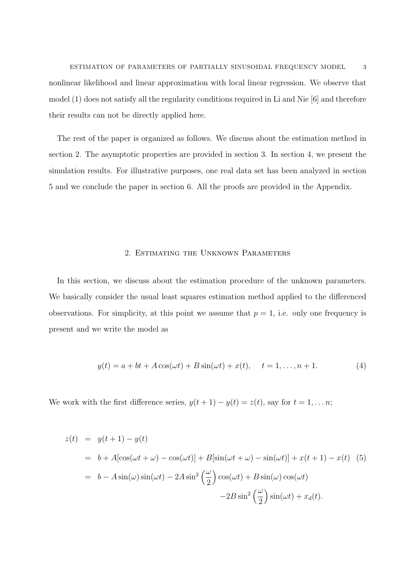ESTIMATION OF PARAMETERS OF PARTIALLY SINUSOIDAL FREQUENCY MODEL 3 nonlinear likelihood and linear approximation with local linear regression. We observe that model (1) does not satisfy all the regularity conditions required in Li and Nie [6] and therefore their results can not be directly applied here.

The rest of the paper is organized as follows. We discuss about the estimation method in section 2. The asymptotic properties are provided in section 3. In section 4, we present the simulation results. For illustrative purposes, one real data set has been analyzed in section 5 and we conclude the paper in section 6. All the proofs are provided in the Appendix.

### 2. Estimating the Unknown Parameters

In this section, we discuss about the estimation procedure of the unknown parameters. We basically consider the usual least squares estimation method applied to the differenced observations. For simplicity, at this point we assume that  $p = 1$ , i.e. only one frequency is present and we write the model as

$$
y(t) = a + bt + A\cos(\omega t) + B\sin(\omega t) + x(t), \quad t = 1, ..., n + 1.
$$
 (4)

We work with the first difference series,  $y(t + 1) - y(t) = z(t)$ , say for  $t = 1, \ldots n$ ;

$$
z(t) = y(t+1) - y(t)
$$
  
=  $b + A[\cos(\omega t + \omega) - \cos(\omega t)] + B[\sin(\omega t + \omega) - \sin(\omega t)] + x(t+1) - x(t)$  (5)  
=  $b - A\sin(\omega)\sin(\omega t) - 2A\sin^2(\frac{\omega}{2})\cos(\omega t) + B\sin(\omega)\cos(\omega t)$   
 $-2B\sin^2(\frac{\omega}{2})\sin(\omega t) + x_d(t).$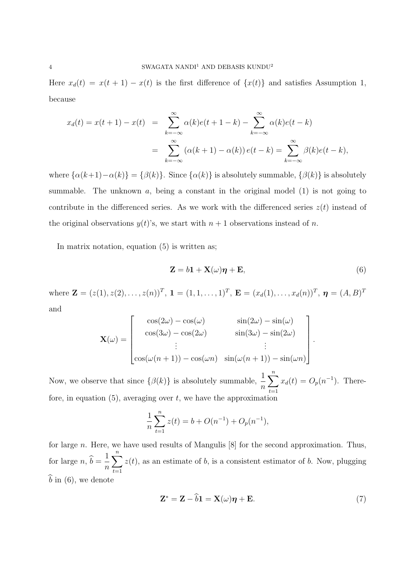Here  $x_d(t) = x(t+1) - x(t)$  is the first difference of  $\{x(t)\}\$  and satisfies Assumption 1, because

$$
x_d(t) = x(t+1) - x(t) = \sum_{k=-\infty}^{\infty} \alpha(k)e(t+1-k) - \sum_{k=-\infty}^{\infty} \alpha(k)e(t-k)
$$
  
= 
$$
\sum_{k=-\infty}^{\infty} (\alpha(k+1) - \alpha(k)) e(t-k) = \sum_{k=-\infty}^{\infty} \beta(k)e(t-k),
$$

where  $\{\alpha(k+1) - \alpha(k)\} = \{\beta(k)\}\$ . Since  $\{\alpha(k)\}\$  is absolutely summable,  $\{\beta(k)\}\$ is absolutely summable. The unknown  $a$ , being a constant in the original model  $(1)$  is not going to contribute in the differenced series. As we work with the differenced series  $z(t)$  instead of the original observations  $y(t)$ 's, we start with  $n + 1$  observations instead of *n*.

In matrix notation, equation (5) is written as;

$$
\mathbf{Z} = b\mathbf{1} + \mathbf{X}(\omega)\boldsymbol{\eta} + \mathbf{E},\tag{6}
$$

where  $\mathbf{Z} = (z(1), z(2), \ldots, z(n))^T$ ,  $\mathbf{1} = (1, 1, \ldots, 1)^T$ ,  $\mathbf{E} = (x_d(1), \ldots, x_d(n))^T$ ,  $\boldsymbol{\eta} = (A, B)^T$ and

$$
\mathbf{X}(\omega) = \begin{bmatrix} \cos(2\omega) - \cos(\omega) & \sin(2\omega) - \sin(\omega) \\ \cos(3\omega) - \cos(2\omega) & \sin(3\omega) - \sin(2\omega) \\ \vdots & \vdots \\ \cos(\omega(n+1)) - \cos(\omega n) & \sin(\omega(n+1)) - \sin(\omega n) \end{bmatrix}.
$$

Now, we observe that since  $\{\beta(k)\}\$ is absolutely summable,  $\frac{1}{n}$ ∑*n t*=1  $x_d(t) = O_p(n^{-1})$ . Therefore, in equation  $(5)$ , averaging over  $t$ , we have the approximation

$$
\frac{1}{n}\sum_{t=1}^{n} z(t) = b + O(n^{-1}) + O_p(n^{-1}),
$$

for large *n*. Here, we have used results of Mangulis [8] for the second approximation. Thus, for large  $n, b =$ 1 *n* ∑*n t*=1  $z(t)$ , as an estimate of *b*, is a consistent estimator of *b*. Now, plugging  $\widehat{b}$  in (6), we denote

$$
\mathbf{Z}^* = \mathbf{Z} - \widehat{b}\mathbf{1} = \mathbf{X}(\omega)\boldsymbol{\eta} + \mathbf{E}.\tag{7}
$$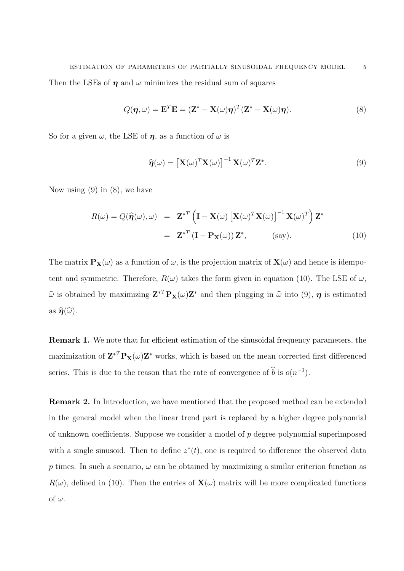Then the LSEs of  $\eta$  and  $\omega$  minimizes the residual sum of squares

$$
Q(\boldsymbol{\eta}, \omega) = \mathbf{E}^T \mathbf{E} = (\mathbf{Z}^* - \mathbf{X}(\omega)\boldsymbol{\eta})^T (\mathbf{Z}^* - \mathbf{X}(\omega)\boldsymbol{\eta}).
$$
\n(8)

So for a given  $\omega$ , the LSE of  $\eta$ , as a function of  $\omega$  is

$$
\widehat{\boldsymbol{\eta}}(\omega) = \left[\mathbf{X}(\omega)^T \mathbf{X}(\omega)\right]^{-1} \mathbf{X}(\omega)^T \mathbf{Z}^*.
$$
\n(9)

Now using  $(9)$  in  $(8)$ , we have

$$
R(\omega) = Q(\hat{\boldsymbol{\eta}}(\omega), \omega) = \mathbf{Z}^{*T} \left( \mathbf{I} - \mathbf{X}(\omega) \left[ \mathbf{X}(\omega)^T \mathbf{X}(\omega) \right]^{-1} \mathbf{X}(\omega)^T \right) \mathbf{Z}^*
$$
  

$$
= \mathbf{Z}^{*T} \left( \mathbf{I} - \mathbf{P}_{\mathbf{X}}(\omega) \right) \mathbf{Z}^*, \qquad \text{(say)}.
$$
 (10)

The matrix  $P_X(\omega)$  as a function of  $\omega$ , is the projection matrix of  $X(\omega)$  and hence is idempotent and symmetric. Therefore,  $R(\omega)$  takes the form given in equation (10). The LSE of  $\omega$ ,  $\hat{\omega}$  is obtained by maximizing  $\mathbf{Z}^{*T}\mathbf{P}_{\mathbf{X}}(\omega)\mathbf{Z}^{*}$  and then plugging in  $\hat{\omega}$  into (9),  $\eta$  is estimated as  $\widehat{\eta}(\widehat{\omega})$ .

**Remark 1.** We note that for efficient estimation of the sinusoidal frequency parameters, the maximization of  $\mathbf{Z}^{*T} \mathbf{P}_\mathbf{X}(\omega) \mathbf{Z}^*$  works, which is based on the mean corrected first differenced series. This is due to the reason that the rate of convergence of  $\hat{b}$  is  $o(n^{-1})$ .

**Remark 2.** In Introduction, we have mentioned that the proposed method can be extended in the general model when the linear trend part is replaced by a higher degree polynomial of unknown coefficients. Suppose we consider a model of *p* degree polynomial superimposed with a single sinusoid. Then to define  $z^*(t)$ , one is required to difference the observed data *p* times. In such a scenario,  $\omega$  can be obtained by maximizing a similar criterion function as  $R(\omega)$ , defined in (10). Then the entries of  $\mathbf{X}(\omega)$  matrix will be more complicated functions of  $\omega$ .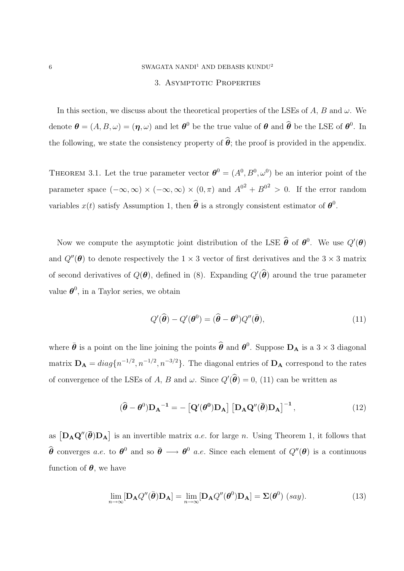### 3. Asymptotic Properties

In this section, we discuss about the theoretical properties of the LSEs of *A*, *B* and  $\omega$ . We denote  $\boldsymbol{\theta} = (A, B, \omega) = (\boldsymbol{\eta}, \omega)$  and let  $\boldsymbol{\theta}^0$  be the true value of  $\boldsymbol{\theta}$  and  $\widehat{\boldsymbol{\theta}}$  be the LSE of  $\boldsymbol{\theta}^0$ . In the following, we state the consistency property of  $\hat{\theta}$ ; the proof is provided in the appendix.

THEOREM 3.1. Let the true parameter vector  $\boldsymbol{\theta}^0 = (A^0, B^0, \omega^0)$  be an interior point of the parameter space  $(-\infty,\infty) \times (-\infty,\infty) \times (0,\pi)$  and  $A^{0^2} + B^{0^2} > 0$ . If the error random variables  $x(t)$  satisfy Assumption 1, then  $\widehat{\boldsymbol{\theta}}$  is a strongly consistent estimator of  $\boldsymbol{\theta}^0$ .

Now we compute the asymptotic joint distribution of the LSE  $\hat{\theta}$  of  $\theta^0$ . We use  $Q'(\theta)$ and  $Q''(\theta)$  to denote respectively the  $1 \times 3$  vector of first derivatives and the  $3 \times 3$  matrix of second derivatives of  $Q(\boldsymbol{\theta})$ , defined in (8). Expanding  $Q'(\boldsymbol{\theta})$  around the true parameter value  $\boldsymbol{\theta}^0$ , in a Taylor series, we obtain

$$
Q'(\widehat{\boldsymbol{\theta}}) - Q'(\boldsymbol{\theta}^0) = (\widehat{\boldsymbol{\theta}} - \boldsymbol{\theta}^0) Q''(\bar{\boldsymbol{\theta}}), \qquad (11)
$$

where  $\bar{\theta}$  is a point on the line joining the points  $\hat{\theta}$  and  $\theta^0$ . Suppose  $D_A$  is a 3  $\times$  3 diagonal matrix  $D_A = diag\{n^{-1/2}, n^{-1/2}, n^{-3/2}\}$ . The diagonal entries of  $D_A$  correspond to the rates of convergence of the LSEs of *A*, *B* and *ω*. Since  $Q'(\theta) = 0$ , (11) can be written as

$$
(\hat{\boldsymbol{\theta}} - \boldsymbol{\theta}^0) \mathbf{D_A}^{-1} = -\left[\mathbf{Q}'(\boldsymbol{\theta}^0)\mathbf{D_A}\right] \left[\mathbf{D_A}\mathbf{Q}''(\bar{\boldsymbol{\theta}})\mathbf{D_A}\right]^{-1},\tag{12}
$$

as  $[D_A \mathbf{Q}''(\bar{\boldsymbol{\theta}}) \mathbf{D}_A]$  is an invertible matrix *a.e.* for large *n*. Using Theorem 1, it follows that  $\hat{\theta}$  converges *a.e.* to  $\theta^0$  and so  $\bar{\theta} \longrightarrow \theta^0$  *a.e.* Since each element of  $Q''(\theta)$  is a continuous function of  $\theta$ , we have

$$
\lim_{n \to \infty} [\mathbf{D}_{\mathbf{A}} Q''(\bar{\boldsymbol{\theta}}) \mathbf{D}_{\mathbf{A}}] = \lim_{n \to \infty} [\mathbf{D}_{\mathbf{A}} Q''(\boldsymbol{\theta}^0) \mathbf{D}_{\mathbf{A}}] = \Sigma(\boldsymbol{\theta}^0) \ (say).
$$
 (13)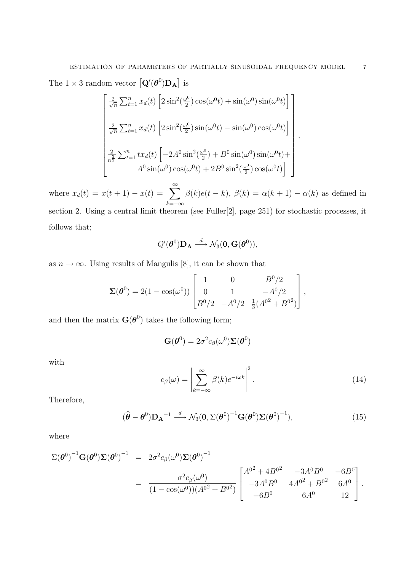The  $1 \times 3$  random vector  $\left[ \mathbf{Q}'(\boldsymbol{\theta}^0) \mathbf{D}_{\mathbf{A}} \right]$  is

$$
\begin{bmatrix}\n\frac{2}{\sqrt{n}} \sum_{t=1}^{n} x_d(t) \left[ 2 \sin^2(\frac{\omega^0}{2}) \cos(\omega^0 t) + \sin(\omega^0) \sin(\omega^0 t) \right] \\
\frac{2}{\sqrt{n}} \sum_{t=1}^{n} x_d(t) \left[ 2 \sin^2(\frac{\omega^0}{2}) \sin(\omega^0 t) - \sin(\omega^0) \cos(\omega^0 t) \right] \\
\frac{2}{n^2} \sum_{t=1}^{n} t x_d(t) \left[ -2A^0 \sin^2(\frac{\omega^0}{2}) + B^0 \sin(\omega^0) \sin(\omega^0 t) + A^0 \sin(\omega^0) \cos(\omega^0 t) + 2B^0 \sin^2(\frac{\omega^0}{2}) \cos(\omega^0 t) \right]\n\end{bmatrix},
$$

where  $x_d(t) = x(t+1) - x(t) = \sum_{k=0}^{\infty}$ *k*=*−∞*  $\beta(k)e(t-k), \beta(k) = \alpha(k+1) - \alpha(k)$  as defined in section 2. Using a central limit theorem (see Fuller<sup>[2]</sup>, page 251) for stochastic processes, it follows that;

$$
Q'(\boldsymbol{\theta}^0)\mathbf{D}_{\mathbf{A}} \stackrel{d}{\longrightarrow} \mathcal{N}_3(\mathbf{0},\mathbf{G}(\boldsymbol{\theta}^0)),
$$

as  $n \to \infty$ . Using results of Mangulis [8], it can be shown that

$$
\Sigma(\boldsymbol{\theta}^0) = 2(1 - \cos(\omega^0)) \begin{bmatrix} 1 & 0 & B^0/2 \\ 0 & 1 & -A^0/2 \\ B^0/2 & -A^0/2 & \frac{1}{3}(A^{02} + B^{02}) \end{bmatrix},
$$

and then the matrix  $\mathbf{G}(\boldsymbol{\theta}^0)$  takes the following form;

$$
\mathbf{G}(\boldsymbol{\theta}^0) = 2\sigma^2 c_{\beta}(\omega^0) \boldsymbol{\Sigma}(\boldsymbol{\theta}^0)
$$

with

$$
c_{\beta}(\omega) = \left| \sum_{k=-\infty}^{\infty} \beta(k) e^{-i\omega k} \right|^2.
$$
 (14)

Therefore,

$$
(\widehat{\boldsymbol{\theta}} - \boldsymbol{\theta}^0) \mathbf{D_A}^{-1} \stackrel{d}{\longrightarrow} \mathcal{N}_3(\mathbf{0}, \Sigma(\boldsymbol{\theta}^0)^{-1} \mathbf{G}(\boldsymbol{\theta}^0) \Sigma(\boldsymbol{\theta}^0)^{-1}),
$$
\n(15)

where

$$
\Sigma(\boldsymbol{\theta}^{0})^{-1} \mathbf{G}(\boldsymbol{\theta}^{0}) \Sigma(\boldsymbol{\theta}^{0})^{-1} = 2\sigma^{2} c_{\beta}(\omega^{0}) \Sigma(\boldsymbol{\theta}^{0})^{-1}
$$
  
= 
$$
\frac{\sigma^{2} c_{\beta}(\omega^{0})}{(1 - \cos(\omega^{0}))(A^{02} + B^{02})} \begin{bmatrix} A^{02} + 4B^{02} & -3A^{0}B^{0} & -6B^{0} \\ -3A^{0}B^{0} & 4A^{02} + B^{02} & 6A^{0} \\ -6B^{0} & 6A^{0} & 12 \end{bmatrix}.
$$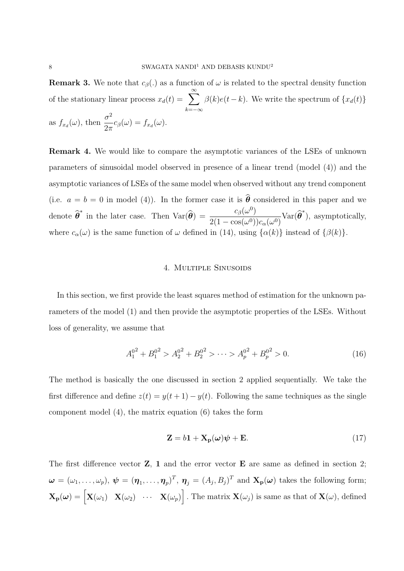**Remark 3.** We note that  $c_{\beta}$ (*.*) as a function of  $\omega$  is related to the spectral density function of the stationary linear process  $x_d(t) = \sum_{r=0}^{\infty}$ *k*=*−∞*  $\beta(k)e(t-k)$ . We write the spectrum of  $\{x_d(t)\}$ as  $f_{x_d}(\omega)$ , then  $\frac{\sigma^2}{2\pi}$  $\frac{\partial}{\partial \pi} c_{\beta}(\omega) = f_{x_d}(\omega).$ 

**Remark 4.** We would like to compare the asymptotic variances of the LSEs of unknown parameters of sinusoidal model observed in presence of a linear trend (model (4)) and the asymptotic variances of LSEs of the same model when observed without any trend component (i.e.  $a = b = 0$  in model (4)). In the former case it is  $\hat{\theta}$  considered in this paper and we denote  $\widehat{\boldsymbol{\theta}}^*$  in the later case. Then  $\text{Var}(\widehat{\boldsymbol{\theta}}) = \frac{c_\beta(\omega^0)}{2(1 - \cos(\omega^0))}$  $\frac{c_{\beta}(\omega)}{2(1-\cos(\omega^0))c_{\alpha}(\omega^0)}$ Var $(\widehat{\boldsymbol{\theta}}^*)$ , asymptotically, where  $c_{\alpha}(\omega)$  is the same function of  $\omega$  defined in (14), using  $\{\alpha(k)\}\$ instead of  $\{\beta(k)\}.$ 

### 4. Multiple Sinusoids

In this section, we first provide the least squares method of estimation for the unknown parameters of the model (1) and then provide the asymptotic properties of the LSEs. Without loss of generality, we assume that

$$
A_1^{0^2} + B_1^{0^2} > A_2^{0^2} + B_2^{0^2} > \dots > A_p^{0^2} + B_p^{0^2} > 0.
$$
 (16)

The method is basically the one discussed in section 2 applied sequentially. We take the first difference and define  $z(t) = y(t+1) - y(t)$ . Following the same techniques as the single component model (4), the matrix equation (6) takes the form

$$
\mathbf{Z} = b\mathbf{1} + \mathbf{X}_{\mathbf{p}}(\boldsymbol{\omega})\boldsymbol{\psi} + \mathbf{E}.\tag{17}
$$

The first difference vector **Z**, **1** and the error vector **E** are same as defined in section 2;  $\boldsymbol{\omega} = (\omega_1, \dots, \omega_p), \, \boldsymbol{\psi} = (\boldsymbol{\eta}_1, \dots, \boldsymbol{\eta}_p)^T, \, \boldsymbol{\eta}_j = (A_j, B_j)^T \text{ and } \mathbf{X_p}(\boldsymbol{\omega}) \text{ takes the following form};$  $\mathbf{X}_{\mathbf{p}}(\boldsymbol{\omega}) = \begin{bmatrix} \mathbf{X}(\omega_1) & \mathbf{X}(\omega_2) & \cdots & \mathbf{X}(\omega_p) \end{bmatrix}$  . The matrix  $\mathbf{X}(\omega_j)$  is same as that of  $\mathbf{X}(\omega)$ , defined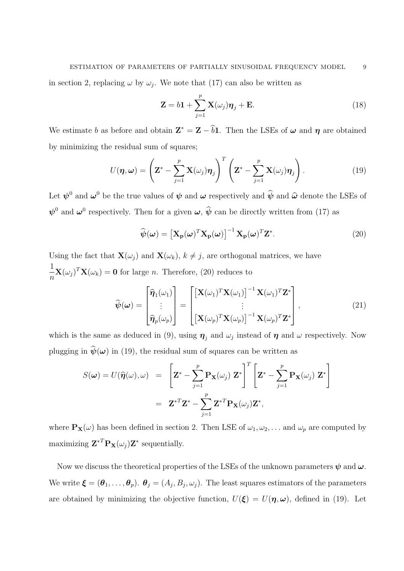in section 2, replacing  $\omega$  by  $\omega_j$ . We note that (17) can also be written as

$$
\mathbf{Z} = b\mathbf{1} + \sum_{j=1}^{p} \mathbf{X}(\omega_j)\boldsymbol{\eta}_j + \mathbf{E}.
$$
 (18)

We estimate *b* as before and obtain  $\mathbf{Z}^* = \mathbf{Z} - b\mathbf{1}$ . Then the LSEs of  $\omega$  and  $\eta$  are obtained by minimizing the residual sum of squares;

$$
U(\boldsymbol{\eta},\boldsymbol{\omega}) = \left(\mathbf{Z}^* - \sum_{j=1}^p \mathbf{X}(\omega_j)\boldsymbol{\eta}_j\right)^T \left(\mathbf{Z}^* - \sum_{j=1}^p \mathbf{X}(\omega_j)\boldsymbol{\eta}_j\right).
$$
(19)

Let  $\psi^0$  and  $\omega^0$  be the true values of  $\psi$  and  $\omega$  respectively and  $\hat{\psi}$  and  $\hat{\omega}$  denote the LSEs of  $\psi^0$  and  $\omega^0$  respectively. Then for a given  $\omega$ ,  $\hat{\psi}$  can be directly written from (17) as

$$
\widehat{\boldsymbol{\psi}}(\boldsymbol{\omega}) = \left[\mathbf{X}_{\mathbf{p}}(\boldsymbol{\omega})^T \mathbf{X}_{\mathbf{p}}(\boldsymbol{\omega})\right]^{-1} \mathbf{X}_{\mathbf{p}}(\boldsymbol{\omega})^T \mathbf{Z}^*.
$$
\n(20)

Using the fact that  $\mathbf{X}(\omega_i)$  and  $\mathbf{X}(\omega_k)$ ,  $k \neq j$ , are orthogonal matrices, we have 1  $\frac{1}{n}\mathbf{X}(\omega_j)^T\mathbf{X}(\omega_k) = \mathbf{0}$  for large *n*. Therefore, (20) reduces to

$$
\widehat{\boldsymbol{\psi}}(\boldsymbol{\omega}) = \begin{bmatrix} \widehat{\boldsymbol{\eta}}_1(\omega_1) \\ \vdots \\ \widehat{\boldsymbol{\eta}}_p(\omega_p) \end{bmatrix} = \begin{bmatrix} \left[ \mathbf{X}(\omega_1)^T \mathbf{X}(\omega_1) \right]^{-1} \mathbf{X}(\omega_1)^T \mathbf{Z}^* \\ \vdots \\ \left[ \mathbf{X}(\omega_p)^T \mathbf{X}(\omega_p) \right]^{-1} \mathbf{X}(\omega_p)^T \mathbf{Z}^* \end{bmatrix},
$$
\n(21)

which is the same as deduced in (9), using  $\eta_j$  and  $\omega_j$  instead of  $\eta$  and  $\omega$  respectively. Now plugging in  $\hat{\psi}(\omega)$  in (19), the residual sum of squares can be written as

$$
S(\boldsymbol{\omega}) = U(\widehat{\boldsymbol{\eta}}(\omega), \omega) = \left[\mathbf{Z}^* - \sum_{j=1}^p \mathbf{P}_{\mathbf{X}}(\omega_j) \mathbf{Z}^*\right]^T \left[\mathbf{Z}^* - \sum_{j=1}^p \mathbf{P}_{\mathbf{X}}(\omega_j) \mathbf{Z}^*\right]
$$

$$
= \mathbf{Z}^{*T} \mathbf{Z}^* - \sum_{j=1}^p \mathbf{Z}^{*T} \mathbf{P}_{\mathbf{X}}(\omega_j) \mathbf{Z}^*,
$$

where  $\mathbf{P}_{\mathbf{X}}(\omega)$  has been defined in section 2. Then LSE of  $\omega_1, \omega_2, \ldots$  and  $\omega_p$  are computed by maximizing  $\mathbf{Z}^{*T} \mathbf{P}_{\mathbf{X}}(\omega_j) \mathbf{Z}^*$  sequentially.

Now we discuss the theoretical properties of the LSEs of the unknown parameters  $\psi$  and  $\omega$ . We write  $\boldsymbol{\xi} = (\boldsymbol{\theta}_1, \dots, \boldsymbol{\theta}_p)$ .  $\boldsymbol{\theta}_j = (A_j, B_j, \omega_j)$ . The least squares estimators of the parameters are obtained by minimizing the objective function,  $U(\xi) = U(\eta, \omega)$ , defined in (19). Let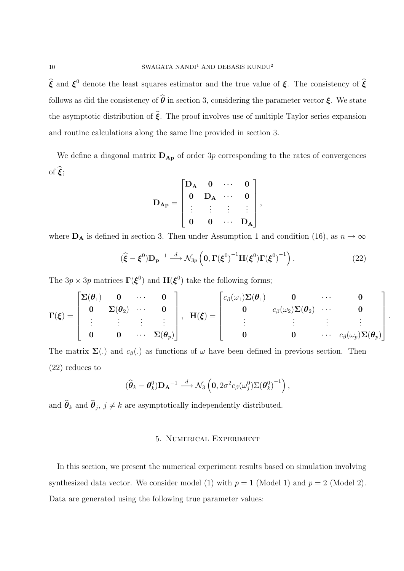$\hat{\xi}$  and  $\xi^0$  denote the least squares estimator and the true value of  $\xi$ . The consistency of  $\hat{\xi}$ follows as did the consistency of  $\hat{\theta}$  in section 3, considering the parameter vector  $\xi$ . We state the asymptotic distribution of  $\hat{\xi}$ . The proof involves use of multiple Taylor series expansion and routine calculations along the same line provided in section 3.

We define a diagonal matrix  $D_{Ap}$  of order 3p corresponding to the rates of convergences of  $\hat{\boldsymbol{\xi}}$ ;

$$
D_{Ap} = \begin{bmatrix} D_A & 0 & \cdots & 0 \\ 0 & D_A & \cdots & 0 \\ \vdots & \vdots & \vdots & \vdots \\ 0 & 0 & \cdots & D_A \end{bmatrix},
$$

where  $D_A$  is defined in section 3. Then under Assumption 1 and condition (16), as  $n \to \infty$ 

$$
(\hat{\boldsymbol{\xi}} - \boldsymbol{\xi}^0) \mathbf{D_p}^{-1} \stackrel{d}{\longrightarrow} \mathcal{N}_{3p} \left( \mathbf{0}, \boldsymbol{\Gamma}(\boldsymbol{\xi}^0)^{-1} \mathbf{H}(\boldsymbol{\xi}^0) \boldsymbol{\Gamma}(\boldsymbol{\xi}^0)^{-1} \right).
$$
 (22)

*.*

The  $3p \times 3p$  matrices  $\Gamma(\xi^0)$  and  $H(\xi^0)$  take the following forms;

$$
\Gamma(\boldsymbol{\xi}) = \begin{bmatrix} \Sigma(\boldsymbol{\theta}_1) & 0 & \cdots & 0 \\ 0 & \Sigma(\boldsymbol{\theta}_2) & \cdots & 0 \\ \vdots & \vdots & \vdots & \vdots \\ 0 & 0 & \cdots & \Sigma(\boldsymbol{\theta}_p) \end{bmatrix}, \ \ \mathbf{H}(\boldsymbol{\xi}) = \begin{bmatrix} c_{\beta}(\omega_1) \Sigma(\boldsymbol{\theta}_1) & 0 & \cdots & 0 \\ 0 & c_{\beta}(\omega_2) \Sigma(\boldsymbol{\theta}_2) & \cdots & 0 \\ \vdots & \vdots & \vdots & \vdots \\ 0 & 0 & \cdots & c_{\beta}(\omega_p) \Sigma(\boldsymbol{\theta}_p) \end{bmatrix}
$$

The matrix  $\Sigma(.)$  and  $c_{\beta}(.)$  as functions of  $\omega$  have been defined in previous section. Then (22) reduces to

$$
(\widehat{\boldsymbol{\theta}}_k - \boldsymbol{\theta}_k^0)\mathbf{D_A}^{-1} \stackrel{d}{\longrightarrow} \mathcal{N}_3\left(\mathbf{0}, 2\sigma^2 c_\beta(\omega_j^0)\Sigma(\boldsymbol{\theta}_k^0)^{-1}\right),
$$

and  $\boldsymbol{\theta}_k$  and  $\boldsymbol{\theta}_j$ ,  $j \neq k$  are asymptotically independently distributed.

## 5. Numerical Experiment

In this section, we present the numerical experiment results based on simulation involving synthesized data vector. We consider model (1) with  $p = 1$  (Model 1) and  $p = 2$  (Model 2). Data are generated using the following true parameter values: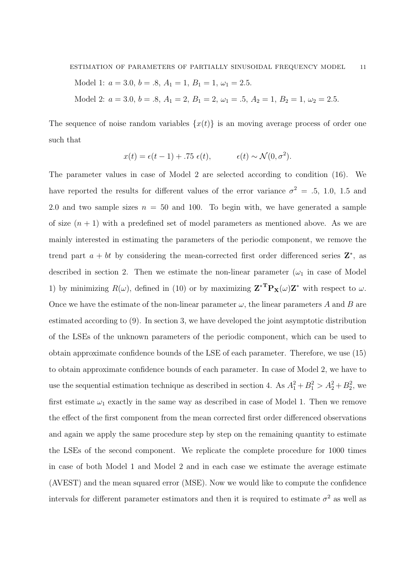Model 1: 
$$
a = 3.0
$$
,  $b = .8$ ,  $A_1 = 1$ ,  $B_1 = 1$ ,  $\omega_1 = 2.5$ .

Model 2:  $a = 3.0, b = .8, A_1 = 2, B_1 = 2, \omega_1 = .5, A_2 = 1, B_2 = 1, \omega_2 = 2.5.$ 

The sequence of noise random variables  $\{x(t)\}\$ is an moving average process of order one such that

$$
x(t) = \epsilon(t-1) + .75 \epsilon(t), \qquad \epsilon(t) \sim \mathcal{N}(0, \sigma^2).
$$

The parameter values in case of Model 2 are selected according to condition (16). We have reported the results for different values of the error variance  $\sigma^2 = .5, 1.0, 1.5$  and 2.0 and two sample sizes  $n = 50$  and 100. To begin with, we have generated a sample of size  $(n + 1)$  with a predefined set of model parameters as mentioned above. As we are mainly interested in estimating the parameters of the periodic component, we remove the trend part  $a + bt$  by considering the mean-corrected first order differenced series  $\mathbf{Z}^*$ , as described in section 2. Then we estimate the non-linear parameter  $(\omega_1$  in case of Model 1) by minimizing  $R(\omega)$ , defined in (10) or by maximizing  $\mathbf{Z}^*^{\mathbf{T}}\mathbf{P}_\mathbf{X}(\omega)\mathbf{Z}^*$  with respect to  $\omega$ . Once we have the estimate of the non-linear parameter  $\omega$ , the linear parameters A and B are estimated according to (9). In section 3, we have developed the joint asymptotic distribution of the LSEs of the unknown parameters of the periodic component, which can be used to obtain approximate confidence bounds of the LSE of each parameter. Therefore, we use (15) to obtain approximate confidence bounds of each parameter. In case of Model 2, we have to use the sequential estimation technique as described in section 4. As  $A_1^2 + B_1^2 > A_2^2 + B_2^2$ , we first estimate  $\omega_1$  exactly in the same way as described in case of Model 1. Then we remove the effect of the first component from the mean corrected first order differenced observations and again we apply the same procedure step by step on the remaining quantity to estimate the LSEs of the second component. We replicate the complete procedure for 1000 times in case of both Model 1 and Model 2 and in each case we estimate the average estimate (AVEST) and the mean squared error (MSE). Now we would like to compute the confidence intervals for different parameter estimators and then it is required to estimate  $\sigma^2$  as well as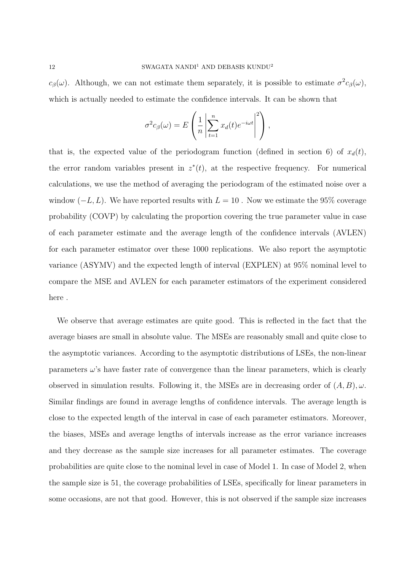*c*<sub>*β*</sub>(*ω*). Although, we can not estimate them separately, it is possible to estimate  $\sigma^2 c_\beta(\omega)$ , which is actually needed to estimate the confidence intervals. It can be shown that

$$
\sigma^{2}c_{\beta}(\omega) = E\left(\frac{1}{n}\left|\sum_{t=1}^{n}x_{d}(t)e^{-i\omega t}\right|^{2}\right),\,
$$

that is, the expected value of the periodogram function (defined in section 6) of  $x_d(t)$ , the error random variables present in  $z^*(t)$ , at the respective frequency. For numerical calculations, we use the method of averaging the periodogram of the estimated noise over a window  $(-L, L)$ . We have reported results with  $L = 10$ . Now we estimate the 95% coverage probability (COVP) by calculating the proportion covering the true parameter value in case of each parameter estimate and the average length of the confidence intervals (AVLEN) for each parameter estimator over these 1000 replications. We also report the asymptotic variance (ASYMV) and the expected length of interval (EXPLEN) at 95% nominal level to compare the MSE and AVLEN for each parameter estimators of the experiment considered here .

We observe that average estimates are quite good. This is reflected in the fact that the average biases are small in absolute value. The MSEs are reasonably small and quite close to the asymptotic variances. According to the asymptotic distributions of LSEs, the non-linear parameters  $\omega$ 's have faster rate of convergence than the linear parameters, which is clearly observed in simulation results. Following it, the MSEs are in decreasing order of  $(A, B)$ ,  $\omega$ . Similar findings are found in average lengths of confidence intervals. The average length is close to the expected length of the interval in case of each parameter estimators. Moreover, the biases, MSEs and average lengths of intervals increase as the error variance increases and they decrease as the sample size increases for all parameter estimates. The coverage probabilities are quite close to the nominal level in case of Model 1. In case of Model 2, when the sample size is 51, the coverage probabilities of LSEs, specifically for linear parameters in some occasions, are not that good. However, this is not observed if the sample size increases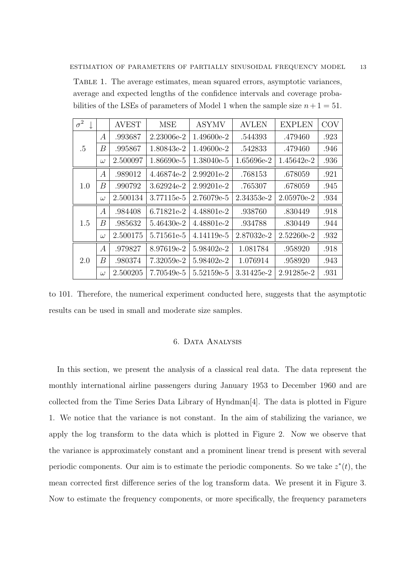Table 1. The average estimates, mean squared errors, asymptotic variances, average and expected lengths of the confidence intervals and coverage probabilities of the LSEs of parameters of Model 1 when the sample size  $n + 1 = 51$ .

| $\sigma^2$ |                  | <b>AVEST</b> | <b>MSE</b> | <b>ASYMV</b> | <b>AVLEN</b> | <b>EXPLEN</b> | <b>COV</b> |
|------------|------------------|--------------|------------|--------------|--------------|---------------|------------|
| .5         | $\boldsymbol{A}$ | .993687      | 2.23006e-2 | 1.49600e-2   | .544393      | .479460       | .923       |
|            | В                | .995867      | 1.80843e-2 | 1.49600e-2   | .542833      | .479460       | .946       |
|            | $\omega$         | 2.500097     | 1.86690e-5 | 1.38040e-5   | 1.65696e-2   | 1.45642e-2    | .936       |
| 1.0        | $\boldsymbol{A}$ | .989012      | 4.46874e-2 | 2.99201e-2   | .768153      | .678059       | .921       |
|            | В                | .990792      | 3.62924e-2 | 2.99201e-2   | .765307      | .678059       | .945       |
|            | $\omega$         | 2.500134     | 3.77115e-5 | 2.76079e-5   | 2.34353e-2   | 2.05970e-2    | .934       |
|            | $\boldsymbol{A}$ | .984408      | 6.71821e-2 | 4.48801e-2   | .938760      | .830449       | .918       |
| 1.5        | В                | .985632      | 5.46430e-2 | 4.48801e-2   | .934788      | .830449       | .944       |
|            | $\omega$         | 2.500175     | 5.71561e-5 | 4.14119e-5   | 2.87032e-2   | $2.52260e-2$  | .932       |
| 2.0        | $\boldsymbol{A}$ | .979827      | 8.97619e-2 | 5.98402e-2   | 1.081784     | .958920       | .918       |
|            | В                | .980374      | 7.32059e-2 | 5.98402e-2   | 1.076914     | .958920       | .943       |
|            | $\omega$         | 2.500205     | 7.70549e-5 | 5.52159e-5   | 3.31425e-2   | 2.91285e-2    | .931       |

to 101. Therefore, the numerical experiment conducted here, suggests that the asymptotic results can be used in small and moderate size samples.

# 6. Data Analysis

In this section, we present the analysis of a classical real data. The data represent the monthly international airline passengers during January 1953 to December 1960 and are collected from the Time Series Data Library of Hyndman[4]. The data is plotted in Figure 1. We notice that the variance is not constant. In the aim of stabilizing the variance, we apply the log transform to the data which is plotted in Figure 2. Now we observe that the variance is approximately constant and a prominent linear trend is present with several periodic components. Our aim is to estimate the periodic components. So we take  $z^*(t)$ , the mean corrected first difference series of the log transform data. We present it in Figure 3. Now to estimate the frequency components, or more specifically, the frequency parameters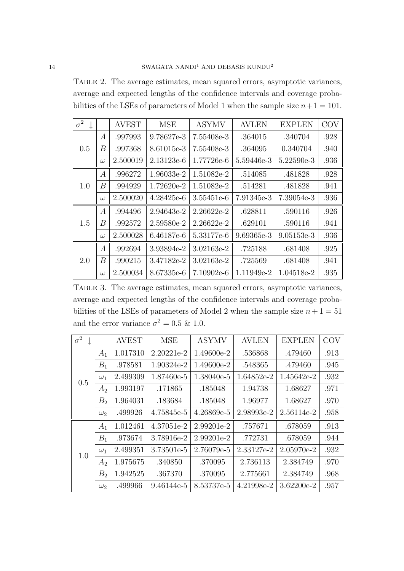Table 2. The average estimates, mean squared errors, asymptotic variances, average and expected lengths of the confidence intervals and coverage probabilities of the LSEs of parameters of Model 1 when the sample size  $n+1 = 101$ .

| $\sigma^2$ |                  | <b>AVEST</b> | <b>MSE</b> | <b>ASYMV</b> | <b>AVLEN</b> | <b>EXPLEN</b> | <b>COV</b> |
|------------|------------------|--------------|------------|--------------|--------------|---------------|------------|
| 0.5        | А                | .997993      | 9.78627e-3 | 7.55408e-3   | .364015      | .340704       | .928       |
|            | В                | .997368      | 8.61015e-3 | 7.55408e-3   | .364095      | 0.340704      | .940       |
|            | $\omega$         | 2.500019     | 2.13123e-6 | 1.77726e-6   | 5.59446e-3   | $5.22590e-3$  | .936       |
| 1.0        | А                | .996272      | 1.96033e-2 | 1.51082e-2   | .514085      | .481828       | .928       |
|            | В                | .994929      | 1.72620e-2 | 1.51082e-2   | .514281      | .481828       | .941       |
|            | $\omega$         | 2.500020     | 4.28425e-6 | 3.55451e-6   | 7.91345e-3   | 7.39054e-3    | .936       |
|            | А                | .994496      | 2.94643e-2 | 2.26622e-2   | .628811      | .590116       | .926       |
| 1.5        | В                | .992572      | 2.59580e-2 | 2.26622e-2   | .629101      | .590116       | .941       |
|            | $\omega$         | 2.500028     | 6.46187e-6 | 5.33177e-6   | 9.69365e-3   | 9.05153e-3    | .936       |
| 2.0        | $\boldsymbol{A}$ | .992694      | 3.93894e-2 | 3.02163e-2   | .725188      | .681408       | .925       |
|            | В                | .990215      | 3.47182e-2 | 3.02163e-2   | .725569      | .681408       | .941       |
|            | $\omega$         | 2.500034     | 8.67335e-6 | 7.10902e-6   | 1.11949e-2   | 1.04518e-2    | .935       |

Table 3. The average estimates, mean squared errors, asymptotic variances, average and expected lengths of the confidence intervals and coverage probabilities of the LSEs of parameters of Model 2 when the sample size  $n + 1 = 51$ and the error variance  $\sigma^2 = 0.5 \& 1.0$ .

| $\sigma^2$ |                | <b>AVEST</b> | <b>MSE</b> | <b>ASYMV</b> | <b>AVLEN</b> | <b>EXPLEN</b> | <b>COV</b> |
|------------|----------------|--------------|------------|--------------|--------------|---------------|------------|
|            | $A_1$          | 1.017310     | 2.20221e-2 | 1.49600e-2   | .536868      | .479460       | .913       |
|            | $B_1$          | .978581      | 1.90324e-2 | 1.49600e-2   | .548365      | .479460       | .945       |
| 0.5        | $\omega_1$     | 2.499309     | 1.87460e-5 | 1.38040e-5   | 1.64852e-2   | 1.45642e-2    | .932       |
|            | A <sub>2</sub> | 1.993197     | .171865    | .185048      | 1.94738      | 1.68627       | .971       |
|            | B <sub>2</sub> | 1.964031     | .183684    | .185048      | 1.96977      | 1.68627       | .970       |
|            | $\omega_2$     | .499926      | 4.75845e-5 | 4.26869e-5   | 2.98993e-2   | 2.56114e-2    | .958       |
|            | $A_1$          | 1.012461     | 4.37051e-2 | 2.99201e-2   | .757671      | .678059       | .913       |
|            | $B_1$          | .973674      | 3.78916e-2 | 2.99201e-2   | .772731      | .678059       | .944       |
| 1.0        | $\omega_1$     | 2.499351     | 3.73501e-5 | 2.76079e-5   | 2.33127e-2   | 2.05970e-2    | .932       |
|            | A <sub>2</sub> | 1.975675     | .340850    | .370095      | 2.736113     | 2.384749      | .970       |
|            | B <sub>2</sub> | 1.942525     | .367370    | .370095      | 2.775661     | 2.384749      | .968       |
|            | $\omega_2$     | .499966      | 9.46144e-5 | 8.53737e-5   | 4.21998e-2   | 3.62200e-2    | .957       |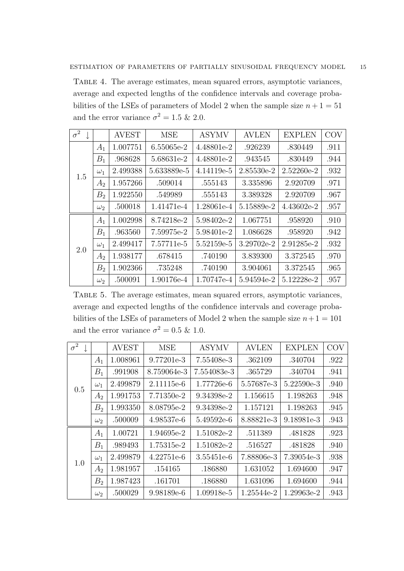Table 4. The average estimates, mean squared errors, asymptotic variances, average and expected lengths of the confidence intervals and coverage probabilities of the LSEs of parameters of Model 2 when the sample size  $n + 1 = 51$ and the error variance  $\sigma^2 = 1.5 \& 2.0$ .

| $\sigma^2$ |                | <b>AVEST</b> | <b>MSE</b>  | <b>ASYMV</b> | <b>AVLEN</b> | <b>EXPLEN</b> | <b>COV</b> |
|------------|----------------|--------------|-------------|--------------|--------------|---------------|------------|
|            | $A_1$          | 1.007751     | 6.55065e-2  | 4.48801e-2   | .926239      | .830449       | .911       |
|            | $B_1$          | .968628      | 5.68631e-2  | 4.48801e-2   | .943545      | .830449       | .944       |
| 1.5        | $\omega_1$     | 2.499388     | 5.633889e-5 | 4.14119e-5   | 2.85530e-2   | 2.52260e-2    | .932       |
|            | A <sub>2</sub> | 1.957266     | .509014     | .555143      | 3.335896     | 2.920709      | .971       |
|            | B <sub>2</sub> | 1.922550     | .549989     | .555143      | 3.389328     | 2.920709      | .967       |
|            | $\omega_2$     | .500018      | 1.41471e-4  | 1.28061e-4   | 5.15889e-2   | $4.43602e-2$  | .957       |
|            | $A_1$          | 1.002998     | 8.74218e-2  | 5.98402e-2   | 1.067751     | .958920       | .910       |
|            | $B_1$          | .963560      | 7.59975e-2  | 5.98401e-2   | 1.086628     | .958920       | .942       |
| 2.0        | $\omega_1$     | 2.499417     | 7.57711e-5  | 5.52159e-5   | 3.29702e-2   | 2.91285e-2    | .932       |
|            | A <sub>2</sub> | 1.938177     | .678415     | .740190      | 3.839300     | 3.372545      | .970       |
|            | B <sub>2</sub> | 1.902366     | .735248     | .740190      | 3.904061     | 3.372545      | .965       |
|            | $\omega_2$     | .500091      | 1.90176e-4  | 1.70747e-4   | 5.94594e-2   | 5.12228e-2    | .957       |

Table 5. The average estimates, mean squared errors, asymptotic variances, average and expected lengths of the confidence intervals and coverage probabilities of the LSEs of parameters of Model 2 when the sample size  $n+1 = 101$ and the error variance  $\sigma^2 = 0.5 \& 1.0$ .

| $\bar{\sigma^2}$ |                | <b>AVEST</b> | <b>MSE</b>   | <b>ASYMV</b> | <b>AVLEN</b> | <b>EXPLEN</b> | <b>COV</b> |
|------------------|----------------|--------------|--------------|--------------|--------------|---------------|------------|
|                  | $A_1$          | 1.008961     | 9.77201e-3   | 7.55408e-3   | .362109      | .340704       | .922       |
|                  | $B_1$          | .991908      | 8.759064e-3  | 7.554083e-3  | .365729      | .340704       | .941       |
| 0.5              | $\omega_1$     | 2.499879     | $2.11115e-6$ | 1.77726e-6   | 5.57687e-3   | 5.22590e-3    | .940       |
|                  | A <sub>2</sub> | 1.991753     | 7.71350e-2   | 9.34398e-2   | 1.156615     | 1.198263      | .948       |
|                  | B <sub>2</sub> | 1.993350     | 8.08795e-2   | 9.34398e-2   | 1.157121     | 1.198263      | .945       |
|                  | $\omega_2$     | .500009      | 4.98537e-6   | 5.49592e-6   | 8.88821e-3   | 9.18981e-3    | .943       |
|                  | $A_1$          | 1.00721      | 1.94695e-2   | 1.51082e-2   | .511389      | .481828       | .923       |
|                  | $B_1$          | .989493      | 1.75315e-2   | 1.51082e-2   | .516527      | .481828       | .940       |
| 1.0              | $\omega_1$     | 2.499879     | 4.22751e-6   | 3.55451e-6   | 7.88806e-3   | 7.39054e-3    | .938       |
|                  | A <sub>2</sub> | 1.981957     | .154165      | .186880      | 1.631052     | 1.694600      | .947       |
|                  | B <sub>2</sub> | 1.987423     | .161701      | .186880      | 1.631096     | 1.694600      | .944       |
|                  | $\omega_2$     | .500029      | 9.98189e-6   | 1.09918e-5   | 1.25544e-2   | 1.29963e-2    | .943       |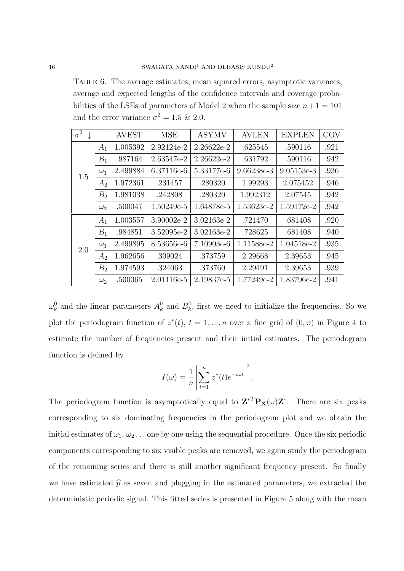Table 6. The average estimates, mean squared errors, asymptotic variances, average and expected lengths of the confidence intervals and coverage probabilities of the LSEs of parameters of Model 2 when the sample size  $n+1 = 101$ and the error variance  $\sigma^2 = 1.5 \& 2.0$ .

| $\sigma^2$ |                | <b>AVEST</b> | <b>MSE</b> | <b>ASYMV</b> | <b>AVLEN</b> | <b>EXPLEN</b> | <b>COV</b> |
|------------|----------------|--------------|------------|--------------|--------------|---------------|------------|
|            | $A_1$          | 1.005392     | 2.92124e-2 | 2.26622e-2   | .625545      | .590116       | .921       |
|            | $B_1$          | .987164      | 2.63547e-2 | 2.26622e-2   | .631792      | .590116       | .942       |
| 1.5        | $\omega_1$     | 2.499884     | 6.37116e-6 | 5.33177e-6   | $9.66238e-3$ | $9.05153e-3$  | .936       |
|            | A <sub>2</sub> | 1.972361     | .231457    | .280320      | 1.99293      | 2.075452      | .946       |
|            | B <sub>2</sub> | 1.981038     | .242808    | .280320      | 1.992312     | 2.07545       | .942       |
|            | $\omega_2$     | .500047      | 1.50249e-5 | 1.64878e-5   | 1.53623e-2   | 1.59172e-2    | .942       |
|            | $A_1$          | 1.003557     | 3.90002e-2 | 3.02163e-2   | .721470      | .681408       | .920       |
|            | $B_1$          | .984851      | 3.52095e-2 | 3.02163e-2   | .728625      | .681408       | .940       |
| 2.0        | $\omega_1$     | 2.499895     | 8.53656e-6 | 7.10903e-6   | 1.11588e-2   | 1.04518e-2    | .935       |
|            | A <sub>2</sub> | 1.962656     | .309024    | .373759      | 2.29668      | 2.39653       | .945       |
|            | B <sub>2</sub> | 1.974593     | .324063    | .373760      | 2.29491      | 2.39653       | .939       |
|            | $\omega_2$     | .500065      | 2.01116e-5 | 2.19837e-5   | 1.77249e-2   | 1.83796e-2    | .941       |

 $\omega_k^0$  and the linear parameters  $A_k^0$  and  $B_k^0$ , first we need to initialize the frequencies. So we plot the periodogram function of  $z^*(t)$ ,  $t = 1, \ldots n$  over a fine grid of  $(0, \pi)$  in Figure 4 to estimate the number of frequencies present and their initial estimates. The periodogram function is defined by

$$
I(\omega) = \frac{1}{n} \left| \sum_{t=1}^{n} z^*(t) e^{-i\omega t} \right|^2.
$$

The periodogram function is asymptotically equal to  $\mathbf{Z}^{*T}\mathbf{P}_{\mathbf{X}}(\omega)\mathbf{Z}^*$ . There are six peaks corresponding to six dominating frequencies in the periodogram plot and we obtain the initial estimates of  $\omega_1, \omega_2, \ldots$  one by one using the sequential procedure. Once the six periodic components corresponding to six visible peaks are removed, we again study the periodogram of the remaining series and there is still another significant frequency present. So finally we have estimated  $\hat{p}$  as seven and plugging in the estimated parameters, we extracted the deterministic periodic signal. This fitted series is presented in Figure 5 along with the mean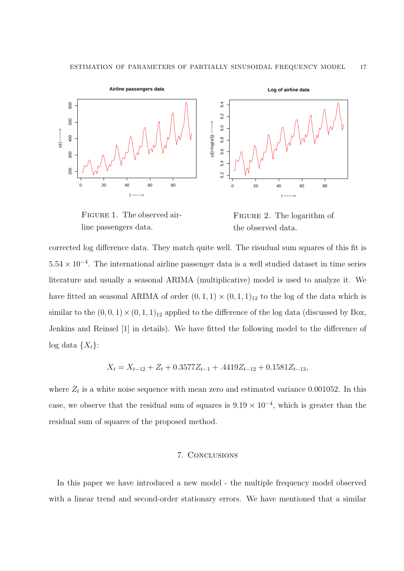

FIGURE 1. The observed airline passengers data.

Figure 2. The logarithm of the observed data.

corrected log difference data. They match quite well. The risudual sum squares of this fit is 5*.*54 *×* 10*−*<sup>4</sup> . The international airline passenger data is a well studied dataset in time series literature and usually a seasonal ARIMA (multiplicative) model is used to analyze it. We have fitted an seasonal ARIMA of order  $(0,1,1) \times (0,1,1)_{12}$  to the log of the data which is similar to the  $(0,0,1) \times (0,1,1)$ <sub>12</sub> applied to the difference of the log data (discussed by Box, Jenkins and Reinsel [1] in details). We have fitted the following model to the difference of log data  $\{X_t\}$ :

$$
X_t = X_{t-12} + Z_t + 0.3577Z_{t-1} + .4419Z_{t-12} + 0.1581Z_{t-13},
$$

where  $Z_t$  is a white noise sequence with mean zero and estimated variance 0.001052. In this case, we observe that the residual sum of squares is  $9.19 \times 10^{-4}$ , which is greater than the residual sum of squares of the proposed method.

### 7. Conclusions

In this paper we have introduced a new model - the multiple frequency model observed with a linear trend and second-order stationary errors. We have mentioned that a similar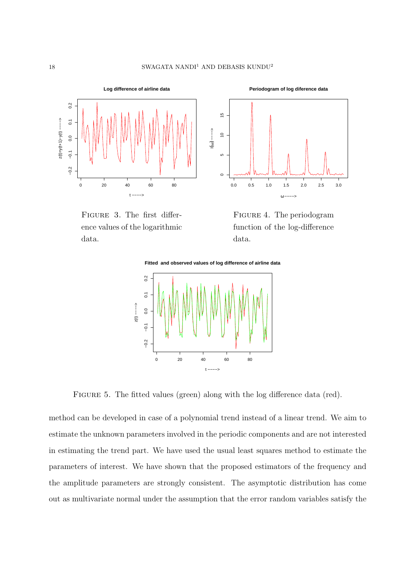

Figure 3. The first difference values of the logarithmic data.



FIGURE 4. The periodogram function of the log-difference data.



FIGURE 5. The fitted values (green) along with the log difference data (red).

method can be developed in case of a polynomial trend instead of a linear trend. We aim to estimate the unknown parameters involved in the periodic components and are not interested in estimating the trend part. We have used the usual least squares method to estimate the parameters of interest. We have shown that the proposed estimators of the frequency and the amplitude parameters are strongly consistent. The asymptotic distribution has come out as multivariate normal under the assumption that the error random variables satisfy the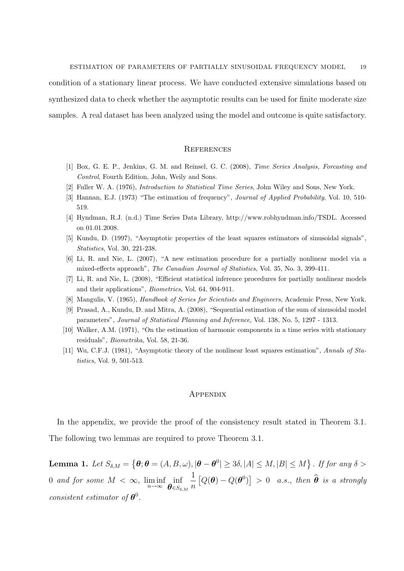condition of a stationary linear process. We have conducted extensive simulations based on synthesized data to check whether the asymptotic results can be used for finite moderate size samples. A real dataset has been analyzed using the model and outcome is quite satisfactory.

#### **REFERENCES**

- [1] Box, G. E. P., Jenkins, G. M. and Reinsel, G. C. (2008), *Time Series Analysis, Forcasting and Control*, Fourth Edition, John, Weily and Sons.
- [2] Fuller W. A. (1976), *Introduction to Statistical Time Series*, John Wiley and Sons, New York.
- [3] Hannan, E.J. (1973) "The estimation of frequency", *Journal of Applied Probability*, Vol. 10, 510- 519.
- [4] Hyndman, R.J. (n.d.) Time Series Data Library, http://www.robhyndman.info/TSDL. Accessed on 01.01.2008.
- [5] Kundu, D. (1997), "Asymptotic properties of the least squares estimators of sinusoidal signals", *Statistics*, Vol. 30, 221-238.
- [6] Li, R. and Nie, L. (2007), "A new estimation procedure for a partially nonlinear model via a mixed-effects approach", *The Canadian Journal of Statistics*, Vol. 35, No. 3, 399-411.
- [7] Li, R. and Nie, L. (2008), "Efficient statistical inference procedures for partially nonlinear models and their applications", *Biometrics*, Vol. 64, 904-911.
- [8] Mangulis, V. (1965), *Handbook of Series for Scientists and Engineers*, Academic Press, New York.
- [9] Prasad, A., Kundu, D. and Mitra, A. (2008), "Sequential estimation of the sum of sinusoidal model parameters", *Journal of Statistical Planning and Inference*, Vol. 138, No. 5, 1297 - 1313.
- [10] Walker, A.M. (1971), "On the estimation of harmonic components in a time series with stationary residuals", *Biometrika*, Vol. 58, 21-36.
- [11] Wu, C.F.J. (1981), "Asymptotic theory of the nonlinear least squares estimation", *Annals of Statistics*, Vol. 9, 501-513.

#### **APPENDIX**

In the appendix, we provide the proof of the consistency result stated in Theorem 3.1. The following two lemmas are required to prove Theorem 3.1.

**Lemma 1.** Let  $S_{\delta,M} = \{ \theta; \theta = (A, B, \omega), |\theta - \theta^0| \geq 3\delta, |A| \leq M, |B| \leq M \}$ . If for any  $\delta >$ 0 *and for some*  $M < \infty$ , liminf *n→∞* inf  $θ$ ∈ $S_{δ,M}$ 1 *n*  $[Q(\boldsymbol{\theta}) - Q(\boldsymbol{\theta}^0)] > 0$  *a.s., then*  $\widehat{\boldsymbol{\theta}}$  *is a strongly consistent estimator of*  $\boldsymbol{\theta}^0$ *.*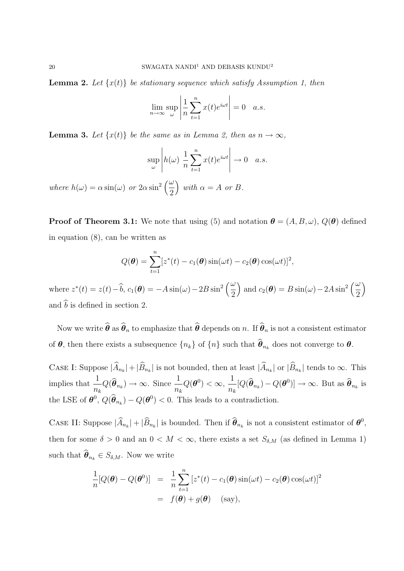**Lemma 2.** Let  $\{x(t)\}\$ be stationary sequence which satisfy Assumption 1, then

$$
\lim_{n \to \infty} \sup_{\omega} \left| \frac{1}{n} \sum_{t=1}^{n} x(t) e^{i\omega t} \right| = 0 \quad a.s.
$$

**Lemma 3.** Let  $\{x(t)\}\$ be the same as in Lemma 2, then as  $n \to \infty$ ,

$$
\sup_{\omega} \left| h(\omega) \frac{1}{n} \sum_{t=1}^{n} x(t) e^{i\omega t} \right| \to 0 \quad a.s.
$$

*where*  $h(\omega) = \alpha \sin(\omega)$  *or*  $2\alpha \sin^2\left(\frac{\omega}{2}\right)$ 2  $\int$  *with*  $\alpha = A$  *or B*.

**Proof of Theorem 3.1:** We note that using (5) and notation  $\boldsymbol{\theta} = (A, B, \omega), Q(\boldsymbol{\theta})$  defined in equation (8), can be written as

$$
Q(\boldsymbol{\theta}) = \sum_{t=1}^{n} [z^*(t) - c_1(\boldsymbol{\theta})\sin(\omega t) - c_2(\boldsymbol{\theta})\cos(\omega t)]^2,
$$

where  $z^*(t) = z(t) - \widehat{b}$ ,  $c_1(\boldsymbol{\theta}) = -A \sin(\omega) - 2B \sin^2\left(\frac{\omega}{2}\right)$ 2  $\int$  and  $c_2(\theta) = B \sin(\omega) - 2A \sin^2\left(\frac{\omega}{2}\right)$ 2  $\setminus$ and  $\widehat{b}$  is defined in section 2.

Now we write  $\hat{\boldsymbol{\theta}}$  as  $\hat{\boldsymbol{\theta}}_n$  to emphasize that  $\hat{\boldsymbol{\theta}}$  depends on *n*. If  $\hat{\boldsymbol{\theta}}_n$  is not a consistent estimator of  $\theta$ , then there exists a subsequence  $\{n_k\}$  of  $\{n\}$  such that  $\widehat{\theta}_{n_k}$  does not converge to  $\theta$ .

CASE I: Suppose  $|\widehat{A}_{n_k}| + |\widehat{B}_{n_k}|$  is not bounded, then at least  $|\widehat{A}_{n_k}|$  or  $|\widehat{B}_{n_k}|$  tends to  $\infty$ . This implies that  $\frac{1}{1}$  $\frac{1}{n_k}Q(\hat{\theta}_{n_k}) \to \infty$ . Since  $\frac{1}{n_k}$ *nk*  $Q(\boldsymbol{\theta}^0) < \infty$ , 1  $\frac{1}{n_k} [Q(\hat{\theta}_{n_k}) - Q(\theta^0)] \to \infty$ . But as  $\hat{\theta}_{n_k}$  is the LSE of  $\theta^0$ ,  $Q(\hat{\theta}_{n_k}) - Q(\theta^0) < 0$ . This leads to a contradiction.

CASE II: Suppose  $|\widehat{A}_{n_k}| + |\widehat{B}_{n_k}|$  is bounded. Then if  $\widehat{\theta}_{n_k}$  is not a consistent estimator of  $\theta^0$ , then for some  $\delta > 0$  and an  $0 < M < \infty$ , there exists a set  $S_{\delta,M}$  (as defined in Lemma 1) such that  $\widehat{\boldsymbol{\theta}}_{n_k} \in S_{\delta,M}$ . Now we write

$$
\frac{1}{n}[Q(\boldsymbol{\theta}) - Q(\boldsymbol{\theta}^0)] = \frac{1}{n}\sum_{t=1}^n [z^*(t) - c_1(\boldsymbol{\theta})\sin(\omega t) - c_2(\boldsymbol{\theta})\cos(\omega t)]^2
$$

$$
= f(\boldsymbol{\theta}) + g(\boldsymbol{\theta}) \quad \text{(say)},
$$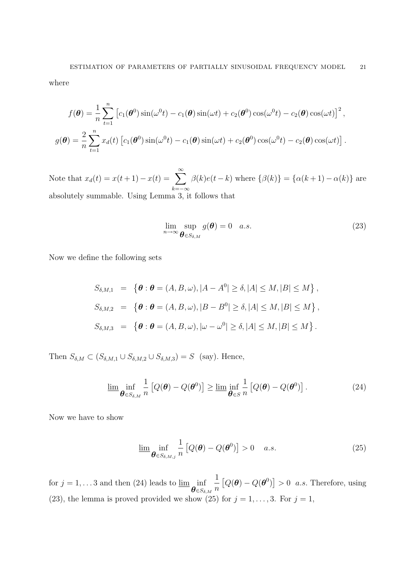where

$$
f(\boldsymbol{\theta}) = \frac{1}{n} \sum_{t=1}^{n} \left[ c_1(\boldsymbol{\theta}^0) \sin(\omega^0 t) - c_1(\boldsymbol{\theta}) \sin(\omega t) + c_2(\boldsymbol{\theta}^0) \cos(\omega^0 t) - c_2(\boldsymbol{\theta}) \cos(\omega t) \right]^2,
$$
  

$$
g(\boldsymbol{\theta}) = \frac{2}{n} \sum_{t=1}^{n} x_d(t) \left[ c_1(\boldsymbol{\theta}^0) \sin(\omega^0 t) - c_1(\boldsymbol{\theta}) \sin(\omega t) + c_2(\boldsymbol{\theta}^0) \cos(\omega^0 t) - c_2(\boldsymbol{\theta}) \cos(\omega t) \right].
$$

Note that  $x_d(t) = x(t+1) - x(t) = \sum_{k=0}^{\infty}$ *k*=*−∞ β*(*k*)*e*(*t − k*) where  $\{\beta(k)\} = \{\alpha(k+1) - \alpha(k)\}\$ are absolutely summable. Using Lemma 3, it follows that

$$
\lim_{n \to \infty} \sup_{\boldsymbol{\theta} \in S_{\delta,M}} g(\boldsymbol{\theta}) = 0 \quad a.s.
$$
\n(23)

Now we define the following sets

$$
S_{\delta,M,1} = \left\{ \boldsymbol{\theta} : \boldsymbol{\theta} = (A, B, \omega), |A - A^0| \ge \delta, |A| \le M, |B| \le M \right\},
$$
  
\n
$$
S_{\delta,M,2} = \left\{ \boldsymbol{\theta} : \boldsymbol{\theta} = (A, B, \omega), |B - B^0| \ge \delta, |A| \le M, |B| \le M \right\},
$$
  
\n
$$
S_{\delta,M,3} = \left\{ \boldsymbol{\theta} : \boldsymbol{\theta} = (A, B, \omega), |\omega - \omega^0| \ge \delta, |A| \le M, |B| \le M \right\}.
$$

Then  $S_{\delta,M} \subset (S_{\delta,M,1} \cup S_{\delta,M,2} \cup S_{\delta,M,3}) = S$  (say). Hence,

$$
\underline{\lim}_{\theta \in S_{\delta,M}} \frac{1}{n} \left[ Q(\theta) - Q(\theta^0) \right] \ge \underline{\lim}_{\theta \in S} \frac{1}{n} \left[ Q(\theta) - Q(\theta^0) \right]. \tag{24}
$$

Now we have to show

$$
\underline{\lim}_{\theta \in S_{\delta,M,j}} \frac{1}{n} \left[ Q(\theta) - Q(\theta^0) \right] > 0 \quad a.s.
$$
\n(25)

for  $j = 1, \ldots 3$  and then (24) leads to  $\underline{\lim}$  inf *θ∈Sδ,M* 1 *n*  $[Q(\theta) - Q(\theta^0)] > 0$  *a.s.* Therefore, using (23), the lemma is proved provided we show (25) for  $j = 1, \ldots, 3$ . For  $j = 1$ ,